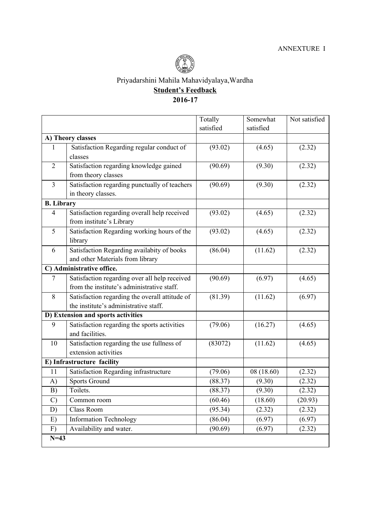

Priyadarshini Mahila Mahavidyalaya,Wardha

**Student's Feedback**

## **2016-17**

|                                    |                                                                     | Totally   | Somewhat   | Not satisfied |
|------------------------------------|---------------------------------------------------------------------|-----------|------------|---------------|
|                                    |                                                                     | satisfied | satisfied  |               |
| A) Theory classes                  |                                                                     |           |            |               |
| $\mathbf{1}$                       | Satisfaction Regarding regular conduct of                           | (93.02)   | (4.65)     | (2.32)        |
|                                    | classes                                                             |           |            |               |
| $\overline{2}$                     | Satisfaction regarding knowledge gained                             | (90.69)   | (9.30)     | (2.32)        |
|                                    | from theory classes                                                 |           |            |               |
| $\overline{3}$                     | Satisfaction regarding punctually of teachers<br>in theory classes. | (90.69)   | (9.30)     | (2.32)        |
| <b>B.</b> Library                  |                                                                     |           |            |               |
| $\overline{4}$                     | Satisfaction regarding overall help received                        | (93.02)   | (4.65)     | (2.32)        |
|                                    | from institute's Library                                            |           |            |               |
| 5                                  | Satisfaction Regarding working hours of the                         | (93.02)   | (4.65)     | (2.32)        |
|                                    | library                                                             |           |            |               |
| 6                                  | Satisfaction Regarding availabity of books                          | (86.04)   | (11.62)    | (2.32)        |
|                                    | and other Materials from library                                    |           |            |               |
| C) Administrative office.          |                                                                     |           |            |               |
| $\boldsymbol{7}$                   | Satisfaction regarding over all help received                       | (90.69)   | (6.97)     | (4.65)        |
|                                    | from the institute's administrative staff.                          |           |            |               |
| 8                                  | Satisfaction regarding the overall attitude of                      | (81.39)   | (11.62)    | (6.97)        |
|                                    | the institute's administrative staff.                               |           |            |               |
| D) Extension and sports activities |                                                                     |           |            |               |
| 9                                  | Satisfaction regarding the sports activities<br>and facilities.     | (79.06)   | (16.27)    | (4.65)        |
| 10                                 | Satisfaction regarding the use fullness of                          | (83072)   | (11.62)    | (4.65)        |
|                                    | extension activities                                                |           |            |               |
| E) Infrastructure facility         |                                                                     |           |            |               |
| 11                                 | Satisfaction Regarding infrastructure                               | (79.06)   | 08 (18.60) | (2.32)        |
| A)                                 | <b>Sports Ground</b>                                                | (88.37)   | (9.30)     | (2.32)        |
| B)                                 | Toilets.                                                            | (88.37)   | (9.30)     | (2.32)        |
| $\mathcal{C}$                      | Common room                                                         | (60.46)   | (18.60)    | (20.93)       |
| D)                                 | <b>Class Room</b>                                                   | (95.34)   | (2.32)     | (2.32)        |
| E)                                 | <b>Information Technology</b>                                       | (86.04)   | (6.97)     | (6.97)        |
| F)                                 | Availability and water.                                             | (90.69)   | (6.97)     | (2.32)        |
| $N=43$                             |                                                                     |           |            |               |